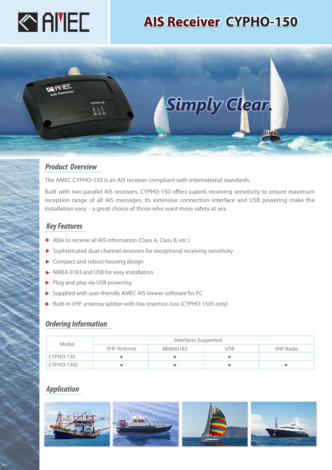

# **AIS Receiver CYPHO-150**



### *Product Overview*

The AMEC CYPHO-150 is an AIS receiver compliant with international standards.

Built with two parallel AIS receivers, CYPHO-150 offers superb receiving sensitivity to ensure maximum reception range of all AIS messages. Its extensive connection interface and USB powering make the installation easy - a great choice of those who want more safety at sea.

### *Key Features*

- Able to receive all AIS information (Class A, Class B, etc.)
- Sophisticated dual-channel receivers for exceptional receiving sensitivity
- ▶ Compact and robust housing design
- NMEA 0183 and USB for easy installation
- $\blacktriangleright$  Plug and play via USB powering
- Supplied with user-friendly AMEC AIS Viewer software for PC
- ▶ Built-in VHF antenna splitter with low insertion loss (CYPHO-150S only)

### *Ordering Information*

| Model      | Interfaces Supported |          |     |                  |
|------------|----------------------|----------|-----|------------------|
|            | VHF Antenna          | NEMA0183 | JSB | <b>VHF Radio</b> |
| CYPHO-150  |                      |          |     |                  |
| CYPHO-150S |                      |          |     |                  |

## *Application*